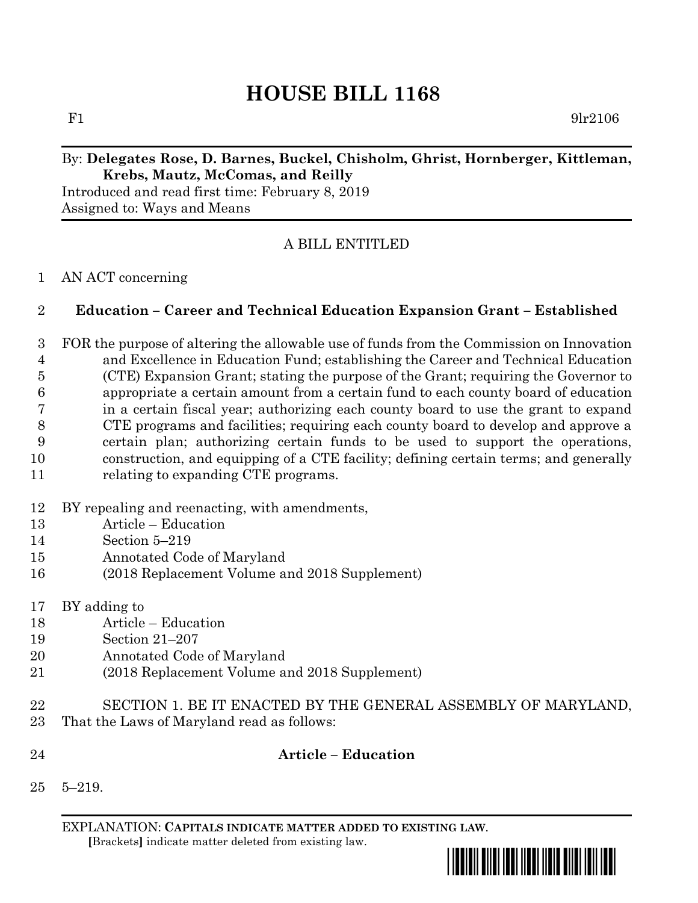# **HOUSE BILL 1168**

F1  $9\text{lr}2106$ 

# By: **Delegates Rose, D. Barnes, Buckel, Chisholm, Ghrist, Hornberger, Kittleman, Krebs, Mautz, McComas, and Reilly**

Introduced and read first time: February 8, 2019 Assigned to: Ways and Means

# A BILL ENTITLED

#### AN ACT concerning

### **Education – Career and Technical Education Expansion Grant – Established**

- FOR the purpose of altering the allowable use of funds from the Commission on Innovation and Excellence in Education Fund; establishing the Career and Technical Education (CTE) Expansion Grant; stating the purpose of the Grant; requiring the Governor to appropriate a certain amount from a certain fund to each county board of education in a certain fiscal year; authorizing each county board to use the grant to expand CTE programs and facilities; requiring each county board to develop and approve a certain plan; authorizing certain funds to be used to support the operations, construction, and equipping of a CTE facility; defining certain terms; and generally 11 relating to expanding CTE programs.
- BY repealing and reenacting, with amendments,
- Article Education
- Section 5–219
- Annotated Code of Maryland
- (2018 Replacement Volume and 2018 Supplement)
- BY adding to
- Article Education
- Section 21–207
- Annotated Code of Maryland
- (2018 Replacement Volume and 2018 Supplement)
- SECTION 1. BE IT ENACTED BY THE GENERAL ASSEMBLY OF MARYLAND,
- That the Laws of Maryland read as follows:
- 

### **Article – Education**

5–219.

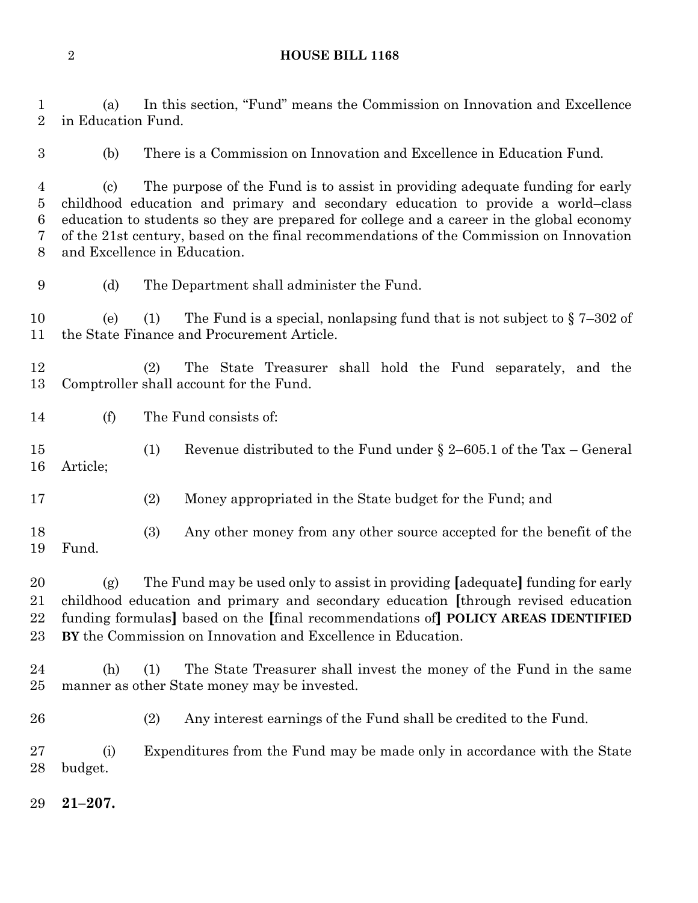#### **HOUSE BILL 1168**

 (a) In this section, "Fund" means the Commission on Innovation and Excellence in Education Fund.

(b) There is a Commission on Innovation and Excellence in Education Fund.

 (c) The purpose of the Fund is to assist in providing adequate funding for early childhood education and primary and secondary education to provide a world–class education to students so they are prepared for college and a career in the global economy of the 21st century, based on the final recommendations of the Commission on Innovation and Excellence in Education.

(d) The Department shall administer the Fund.

10 (e) (1) The Fund is a special, nonlapsing fund that is not subject to  $\S 7-302$  of the State Finance and Procurement Article.

 (2) The State Treasurer shall hold the Fund separately, and the Comptroller shall account for the Fund.

(f) The Fund consists of:

 (1) Revenue distributed to the Fund under § 2–605.1 of the Tax – General Article;

(2) Money appropriated in the State budget for the Fund; and

 (3) Any other money from any other source accepted for the benefit of the Fund.

 (g) The Fund may be used only to assist in providing **[**adequate**]** funding for early childhood education and primary and secondary education **[**through revised education funding formulas**]** based on the **[**final recommendations of**] POLICY AREAS IDENTIFIED BY** the Commission on Innovation and Excellence in Education.

- (h) (1) The State Treasurer shall invest the money of the Fund in the same manner as other State money may be invested.
- (2) Any interest earnings of the Fund shall be credited to the Fund.

 (i) Expenditures from the Fund may be made only in accordance with the State budget.

**21–207.**